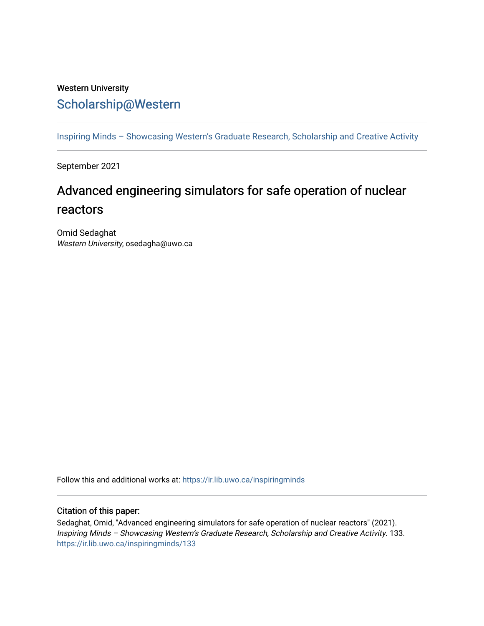## Western University [Scholarship@Western](https://ir.lib.uwo.ca/)

[Inspiring Minds – Showcasing Western's Graduate Research, Scholarship and Creative Activity](https://ir.lib.uwo.ca/inspiringminds) 

September 2021

## Advanced engineering simulators for safe operation of nuclear reactors

Omid Sedaghat Western University, osedagha@uwo.ca

Follow this and additional works at: [https://ir.lib.uwo.ca/inspiringminds](https://ir.lib.uwo.ca/inspiringminds?utm_source=ir.lib.uwo.ca%2Finspiringminds%2F133&utm_medium=PDF&utm_campaign=PDFCoverPages) 

## Citation of this paper:

Sedaghat, Omid, "Advanced engineering simulators for safe operation of nuclear reactors" (2021). Inspiring Minds – Showcasing Western's Graduate Research, Scholarship and Creative Activity. 133. [https://ir.lib.uwo.ca/inspiringminds/133](https://ir.lib.uwo.ca/inspiringminds/133?utm_source=ir.lib.uwo.ca%2Finspiringminds%2F133&utm_medium=PDF&utm_campaign=PDFCoverPages)